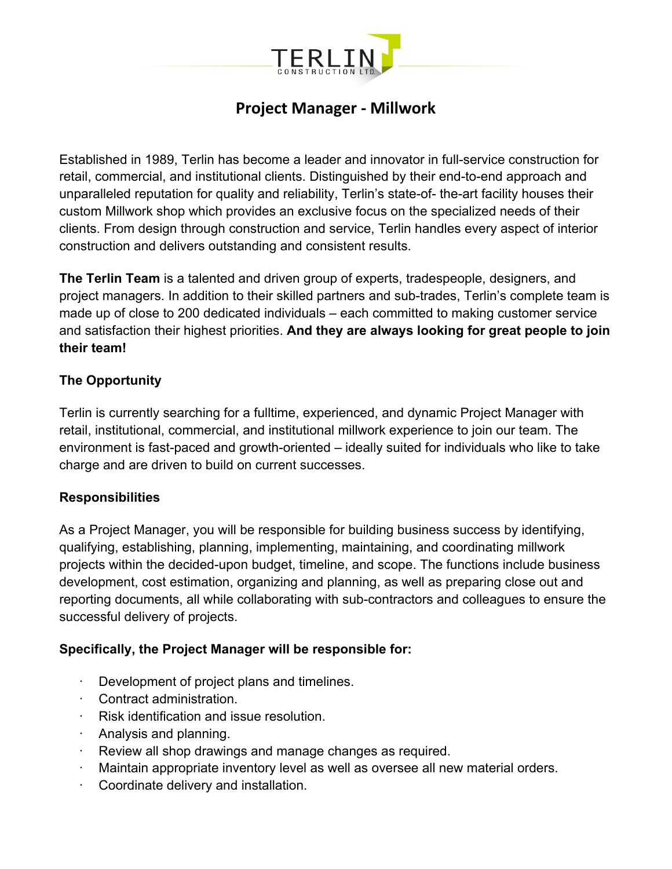

# **Project Manager - Millwork**

Established in 1989, Terlin has become a leader and innovator in full-service construction for retail, commercial, and institutional clients. Distinguished by their end-to-end approach and unparalleled reputation for quality and reliability, Terlin's state-of- the-art facility houses their custom Millwork shop which provides an exclusive focus on the specialized needs of their clients. From design through construction and service, Terlin handles every aspect of interior construction and delivers outstanding and consistent results.

**The Terlin Team** is a talented and driven group of experts, tradespeople, designers, and project managers. In addition to their skilled partners and sub-trades, Terlin's complete team is made up of close to 200 dedicated individuals – each committed to making customer service and satisfaction their highest priorities. **And they are always looking for great people to join their team!**

### **The Opportunity**

Terlin is currently searching for a fulltime, experienced, and dynamic Project Manager with retail, institutional, commercial, and institutional millwork experience to join our team. The environment is fast-paced and growth-oriented – ideally suited for individuals who like to take charge and are driven to build on current successes.

### **Responsibilities**

As a Project Manager, you will be responsible for building business success by identifying, qualifying, establishing, planning, implementing, maintaining, and coordinating millwork projects within the decided-upon budget, timeline, and scope. The functions include business development, cost estimation, organizing and planning, as well as preparing close out and reporting documents, all while collaborating with sub-contractors and colleagues to ensure the successful delivery of projects.

### **Specifically, the Project Manager will be responsible for:**

- Development of project plans and timelines.
- · Contract administration.
- · Risk identification and issue resolution.
- · Analysis and planning.
- Review all shop drawings and manage changes as required.
- Maintain appropriate inventory level as well as oversee all new material orders.
- Coordinate delivery and installation.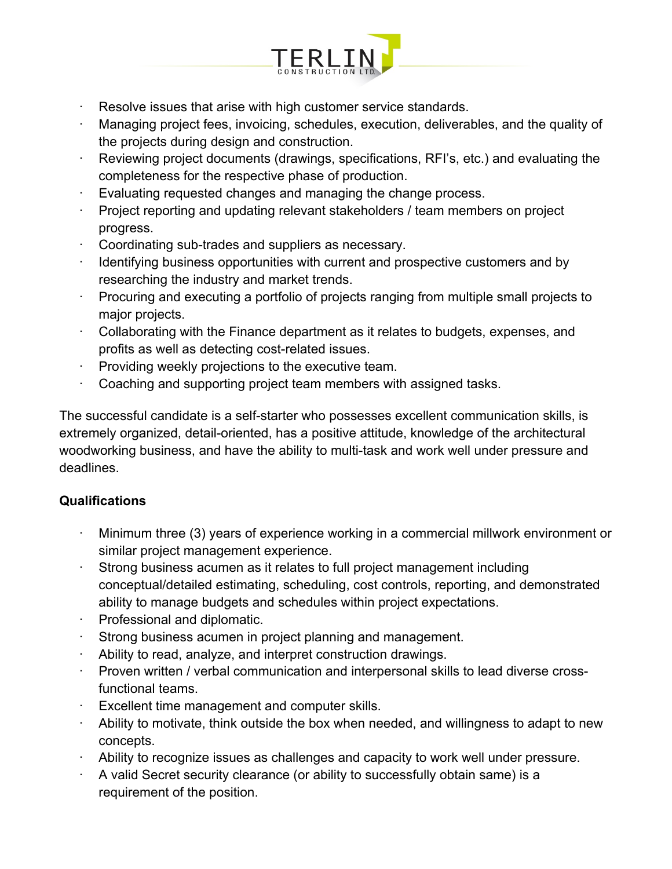

- Resolve issues that arise with high customer service standards.
- · Managing project fees, invoicing, schedules, execution, deliverables, and the quality of the projects during design and construction.
- · Reviewing project documents (drawings, specifications, RFI's, etc.) and evaluating the completeness for the respective phase of production.
- · Evaluating requested changes and managing the change process.
- Project reporting and updating relevant stakeholders / team members on project progress.
- Coordinating sub-trades and suppliers as necessary.
- · Identifying business opportunities with current and prospective customers and by researching the industry and market trends.
- · Procuring and executing a portfolio of projects ranging from multiple small projects to major projects.
- · Collaborating with the Finance department as it relates to budgets, expenses, and profits as well as detecting cost-related issues.
- · Providing weekly projections to the executive team.
- Coaching and supporting project team members with assigned tasks.

The successful candidate is a self-starter who possesses excellent communication skills, is extremely organized, detail-oriented, has a positive attitude, knowledge of the architectural woodworking business, and have the ability to multi-task and work well under pressure and deadlines.

# **Qualifications**

- Minimum three (3) years of experience working in a commercial millwork environment or similar project management experience.
- Strong business acumen as it relates to full project management including conceptual/detailed estimating, scheduling, cost controls, reporting, and demonstrated ability to manage budgets and schedules within project expectations.
- · Professional and diplomatic.
- Strong business acumen in project planning and management.
- Ability to read, analyze, and interpret construction drawings.
- · Proven written / verbal communication and interpersonal skills to lead diverse crossfunctional teams.
- Excellent time management and computer skills.
- Ability to motivate, think outside the box when needed, and willingness to adapt to new concepts.
- · Ability to recognize issues as challenges and capacity to work well under pressure.
- · A valid Secret security clearance (or ability to successfully obtain same) is a requirement of the position.